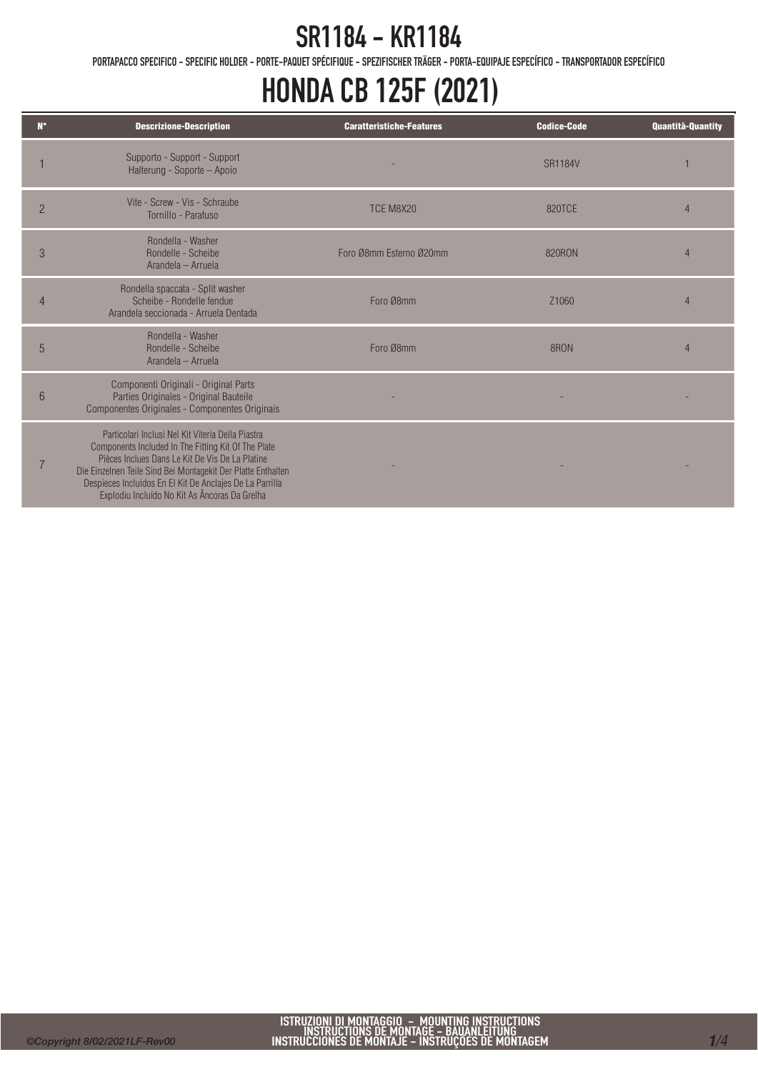PORTAPACCO SPECIFICO - SPECIFIC HOLDER - PORTE-PAQUET SPÉCIFIQUE - SPEZIFISCHER TRÄGER - PORTA-EQUIPAJE ESPECÍFICO - TRANSPORTADOR ESPECÍFICO

# HONDA CB 125F (2021)

| $N^{\circ}$    | <b>Descrizione-Description</b>                                                                                                                                                                                                                                                                                                           | <b>Caratteristiche-Features</b> | <b>Codice-Code</b> | <b>Quantità-Quantity</b> |
|----------------|------------------------------------------------------------------------------------------------------------------------------------------------------------------------------------------------------------------------------------------------------------------------------------------------------------------------------------------|---------------------------------|--------------------|--------------------------|
|                | Supporto - Support - Support<br>Halterung - Soporte - Apoio                                                                                                                                                                                                                                                                              |                                 | <b>SR1184V</b>     |                          |
| $\overline{2}$ | Vite - Screw - Vis - Schraube<br>Tornillo - Parafuso                                                                                                                                                                                                                                                                                     | TCE M8X20                       | 820TCE             |                          |
| 3              | Rondella - Washer<br>Rondelle - Scheibe<br>Arandela - Arruela                                                                                                                                                                                                                                                                            | Foro Ø8mm Esterno Ø20mm         | 820RON             | 4                        |
|                | Rondella spaccata - Split washer<br>Scheibe - Rondelle fendue<br>Arandela seccionada - Arruela Dentada                                                                                                                                                                                                                                   | Foro Ø8mm                       | Z <sub>1060</sub>  |                          |
| 5              | Rondella - Washer<br>Rondelle - Scheibe<br>Arandela - Arruela                                                                                                                                                                                                                                                                            | Foro Ø8mm                       | 8RON               |                          |
| 6              | Componenti Originali - Original Parts<br>Parties Originales - Original Bauteile<br>Componentes Originales - Componentes Originais                                                                                                                                                                                                        |                                 |                    |                          |
|                | Particolari Inclusi Nel Kit Viteria Della Piastra<br>Components Included In The Fitting Kit Of The Plate<br>Pièces Inclues Dans Le Kit De Vis De La Platine<br>Die Einzelnen Teile Sind Bei Montagekit Der Platte Enthalten<br>Despieces Incluidos En El Kit De Anclajes De La Parrilla<br>Explodiu Incluído No Kit As Âncoras Da Grelha |                                 |                    |                          |

Ī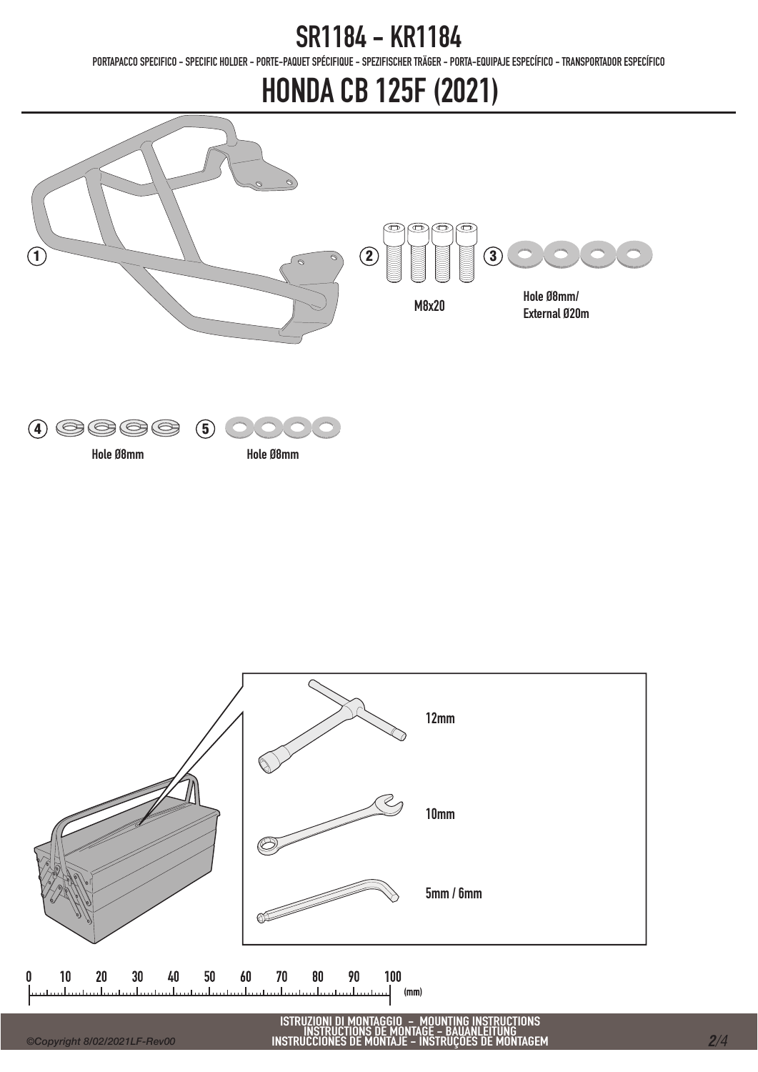PORTAPACCO SPECIFICO - SPECIFIC HOLDER - PORTE-PAQUET SPÉCIFIQUE - SPEZIFISCHER TRÄGER - PORTA-EQUIPAJE ESPECÍFICO - TRANSPORTADOR ESPECÍFICO

# HONDA CB 125F (2021)





12mm 7 10mm 5mm / 6mm ØÉ  $10$ 40 50 60 70 100  $\mathbf{0}$  $20$  $30$ 80 90  $(mm)$ 

#### *©Copyright 8/02/2021LF-Rev00*

ISTRUZIONI DI MONTAGGIO – MOUNTING INSTRUCTIONS<br>INSTRUCTIONS DE MONTAGE – BAUANLEITUNG<br>INSTRUCCIONES DE MONTAJE – INSTRUÇÕES DE MONTAGEM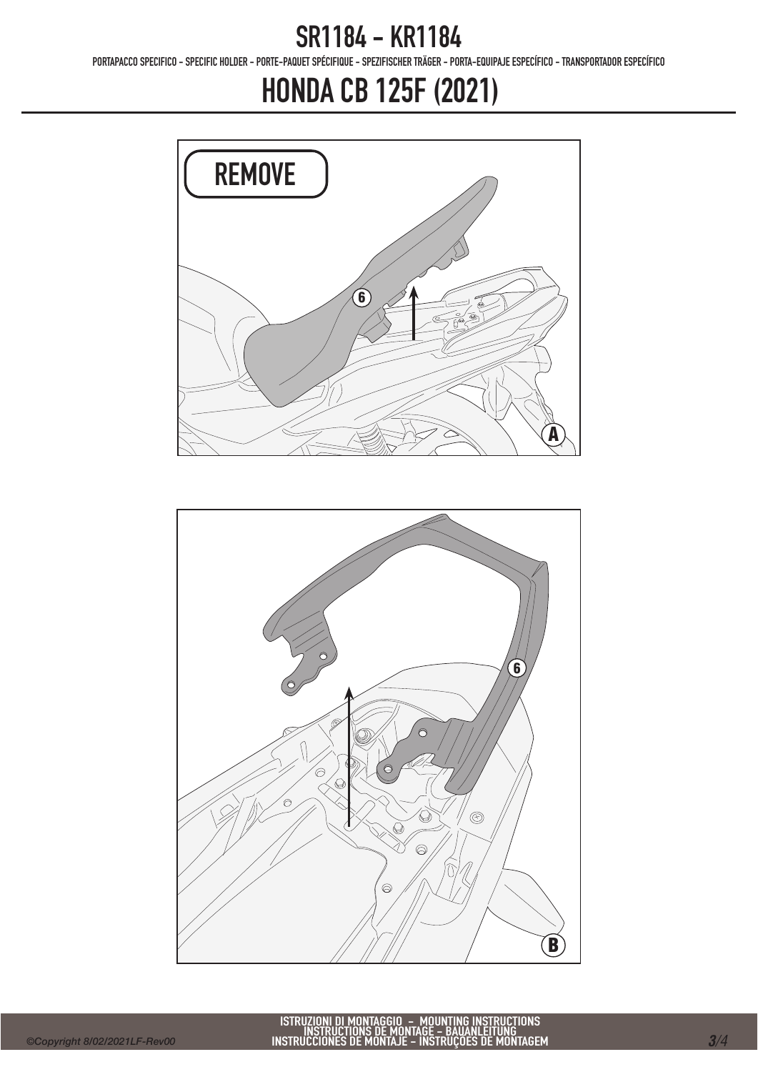PORTAPACCO SPECIFICO - SPECIFIC HOLDER - PORTE-PAQUET SPÉCIFIQUE - SPEZIFISCHER TRÄGER - PORTA-EQUIPAJE ESPECÍFICO - TRANSPORTADOR ESPECÍFICO

# HONDA CB 125F (2021)